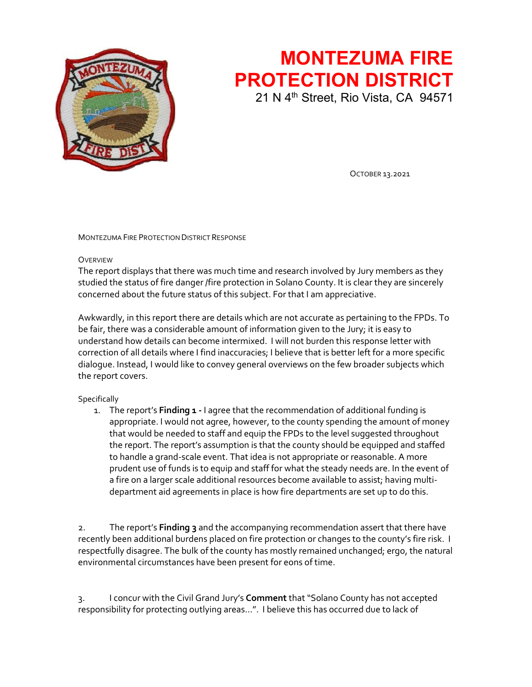

## **MONTEZUMA FIRE PROTECTION DISTRICT** 21 N 4<sup>th</sup> Street, Rio Vista, CA 94571

OCTOBER 13.2021

MONTEZUMA FIRE PROTECTION DISTRICT RESPONSE

## **OVERVIEW**

The report displays that there was much time and research involved by Jury members as they studied the status of fire danger /fire protection in Solano County. It is clear they are sincerely concerned about the future status of this subject. For that I am appreciative.

Awkwardly, in this report there are details which are not accurate as pertaining to the FPDs. To be fair, there was a considerable amount of information given to the Jury; it is easy to understand how details can become intermixed. I will not burden this response letter with correction of all details where I find inaccuracies; I believe that is better left for a more specific dialogue. Instead, I would like to convey general overviews on the few broader subjects which the report covers.

## **Specifically**

1. The report's **Finding 1 -** I agree that the recommendation of additional funding is appropriate. I would not agree, however, to the county spending the amount of money that would be needed to staff and equip the FPDs to the level suggested throughout the report. The report's assumption is that the county should be equipped and staffed to handle a grand-scale event. That idea is not appropriate or reasonable. A more prudent use of funds is to equip and staff for what the steady needs are. In the event of a fire on a larger scale additional resources become available to assist; having multidepartment aid agreements in place is how fire departments are set up to do this.

2. The report's **Finding 3** and the accompanying recommendation assert that there have recently been additional burdens placed on fire protection or changes to the county's fire risk. I respectfully disagree. The bulk of the county has mostly remained unchanged; ergo, the natural environmental circumstances have been present for eons of time.

3. I concur with the Civil Grand Jury's **Comment** that "Solano County has not accepted responsibility for protecting outlying areas…". I believe this has occurred due to lack of